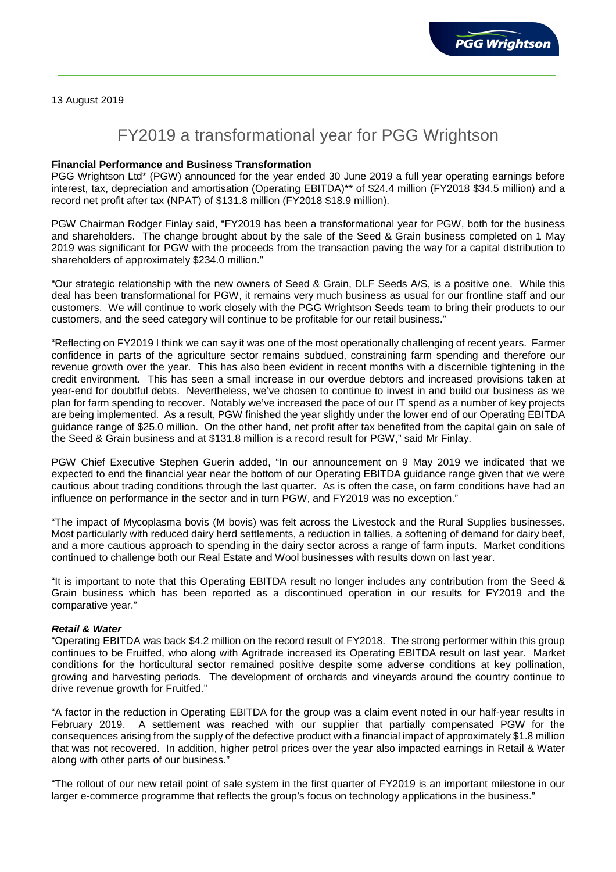13 August 2019

# FY2019 a transformational year for PGG Wrightson

## **Financial Performance and Business Transformation**

PGG Wrightson Ltd\* (PGW) announced for the year ended 30 June 2019 a full year operating earnings before interest, tax, depreciation and amortisation (Operating EBITDA)\*\* of \$24.4 million (FY2018 \$34.5 million) and a record net profit after tax (NPAT) of \$131.8 million (FY2018 \$18.9 million).

PGW Chairman Rodger Finlay said, "FY2019 has been a transformational year for PGW, both for the business and shareholders. The change brought about by the sale of the Seed & Grain business completed on 1 May 2019 was significant for PGW with the proceeds from the transaction paving the way for a capital distribution to shareholders of approximately \$234.0 million."

"Our strategic relationship with the new owners of Seed & Grain, DLF Seeds A/S, is a positive one. While this deal has been transformational for PGW, it remains very much business as usual for our frontline staff and our customers. We will continue to work closely with the PGG Wrightson Seeds team to bring their products to our customers, and the seed category will continue to be profitable for our retail business."

"Reflecting on FY2019 I think we can say it was one of the most operationally challenging of recent years. Farmer confidence in parts of the agriculture sector remains subdued, constraining farm spending and therefore our revenue growth over the year. This has also been evident in recent months with a discernible tightening in the credit environment. This has seen a small increase in our overdue debtors and increased provisions taken at year-end for doubtful debts. Nevertheless, we've chosen to continue to invest in and build our business as we plan for farm spending to recover. Notably we've increased the pace of our IT spend as a number of key projects are being implemented. As a result, PGW finished the year slightly under the lower end of our Operating EBITDA guidance range of \$25.0 million. On the other hand, net profit after tax benefited from the capital gain on sale of the Seed & Grain business and at \$131.8 million is a record result for PGW," said Mr Finlay.

PGW Chief Executive Stephen Guerin added, "In our announcement on 9 May 2019 we indicated that we expected to end the financial year near the bottom of our Operating EBITDA guidance range given that we were cautious about trading conditions through the last quarter. As is often the case, on farm conditions have had an influence on performance in the sector and in turn PGW, and FY2019 was no exception."

"The impact of Mycoplasma bovis (M bovis) was felt across the Livestock and the Rural Supplies businesses. Most particularly with reduced dairy herd settlements, a reduction in tallies, a softening of demand for dairy beef, and a more cautious approach to spending in the dairy sector across a range of farm inputs. Market conditions continued to challenge both our Real Estate and Wool businesses with results down on last year.

"It is important to note that this Operating EBITDA result no longer includes any contribution from the Seed & Grain business which has been reported as a discontinued operation in our results for FY2019 and the comparative year."

#### **Retail & Water**

"Operating EBITDA was back \$4.2 million on the record result of FY2018. The strong performer within this group continues to be Fruitfed, who along with Agritrade increased its Operating EBITDA result on last year. Market conditions for the horticultural sector remained positive despite some adverse conditions at key pollination, growing and harvesting periods. The development of orchards and vineyards around the country continue to drive revenue growth for Fruitfed."

"A factor in the reduction in Operating EBITDA for the group was a claim event noted in our half-year results in February 2019. A settlement was reached with our supplier that partially compensated PGW for the consequences arising from the supply of the defective product with a financial impact of approximately \$1.8 million that was not recovered. In addition, higher petrol prices over the year also impacted earnings in Retail & Water along with other parts of our business."

"The rollout of our new retail point of sale system in the first quarter of FY2019 is an important milestone in our larger e-commerce programme that reflects the group's focus on technology applications in the business."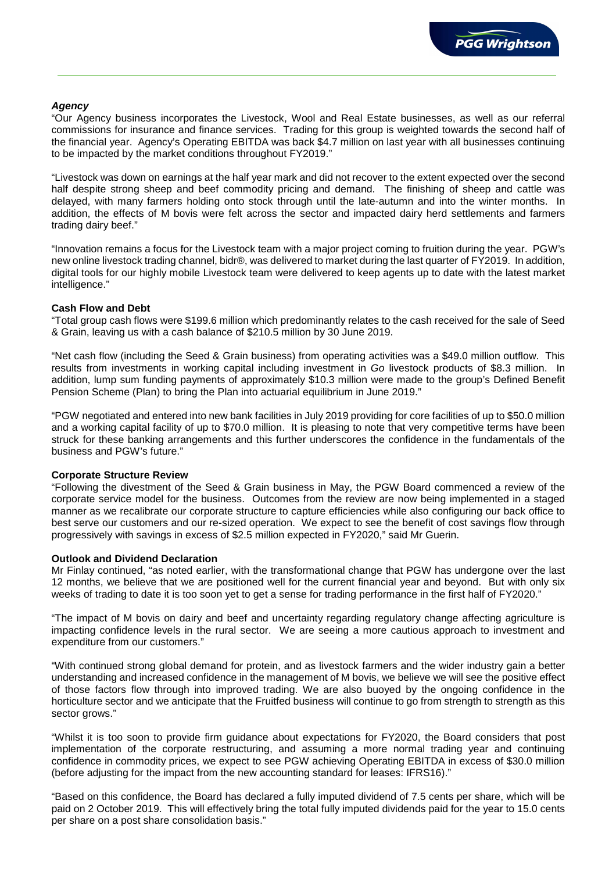# **Agency**

"Our Agency business incorporates the Livestock, Wool and Real Estate businesses, as well as our referral commissions for insurance and finance services. Trading for this group is weighted towards the second half of the financial year. Agency's Operating EBITDA was back \$4.7 million on last year with all businesses continuing to be impacted by the market conditions throughout FY2019."

"Livestock was down on earnings at the half year mark and did not recover to the extent expected over the second half despite strong sheep and beef commodity pricing and demand. The finishing of sheep and cattle was delayed, with many farmers holding onto stock through until the late-autumn and into the winter months. In addition, the effects of M bovis were felt across the sector and impacted dairy herd settlements and farmers trading dairy beef."

"Innovation remains a focus for the Livestock team with a major project coming to fruition during the year. PGW's new online livestock trading channel, bidr®, was delivered to market during the last quarter of FY2019. In addition, digital tools for our highly mobile Livestock team were delivered to keep agents up to date with the latest market intelligence."

# **Cash Flow and Debt**

"Total group cash flows were \$199.6 million which predominantly relates to the cash received for the sale of Seed & Grain, leaving us with a cash balance of \$210.5 million by 30 June 2019.

"Net cash flow (including the Seed & Grain business) from operating activities was a \$49.0 million outflow. This results from investments in working capital including investment in Go livestock products of \$8.3 million. In addition, lump sum funding payments of approximately \$10.3 million were made to the group's Defined Benefit Pension Scheme (Plan) to bring the Plan into actuarial equilibrium in June 2019."

"PGW negotiated and entered into new bank facilities in July 2019 providing for core facilities of up to \$50.0 million and a working capital facility of up to \$70.0 million. It is pleasing to note that very competitive terms have been struck for these banking arrangements and this further underscores the confidence in the fundamentals of the business and PGW's future."

#### **Corporate Structure Review**

"Following the divestment of the Seed & Grain business in May, the PGW Board commenced a review of the corporate service model for the business. Outcomes from the review are now being implemented in a staged manner as we recalibrate our corporate structure to capture efficiencies while also configuring our back office to best serve our customers and our re-sized operation. We expect to see the benefit of cost savings flow through progressively with savings in excess of \$2.5 million expected in FY2020," said Mr Guerin.

#### **Outlook and Dividend Declaration**

Mr Finlay continued, "as noted earlier, with the transformational change that PGW has undergone over the last 12 months, we believe that we are positioned well for the current financial year and beyond. But with only six weeks of trading to date it is too soon yet to get a sense for trading performance in the first half of FY2020."

"The impact of M bovis on dairy and beef and uncertainty regarding regulatory change affecting agriculture is impacting confidence levels in the rural sector. We are seeing a more cautious approach to investment and expenditure from our customers."

"With continued strong global demand for protein, and as livestock farmers and the wider industry gain a better understanding and increased confidence in the management of M bovis, we believe we will see the positive effect of those factors flow through into improved trading. We are also buoyed by the ongoing confidence in the horticulture sector and we anticipate that the Fruitfed business will continue to go from strength to strength as this sector grows."

"Whilst it is too soon to provide firm guidance about expectations for FY2020, the Board considers that post implementation of the corporate restructuring, and assuming a more normal trading year and continuing confidence in commodity prices, we expect to see PGW achieving Operating EBITDA in excess of \$30.0 million (before adjusting for the impact from the new accounting standard for leases: IFRS16)."

"Based on this confidence, the Board has declared a fully imputed dividend of 7.5 cents per share, which will be paid on 2 October 2019. This will effectively bring the total fully imputed dividends paid for the year to 15.0 cents per share on a post share consolidation basis."